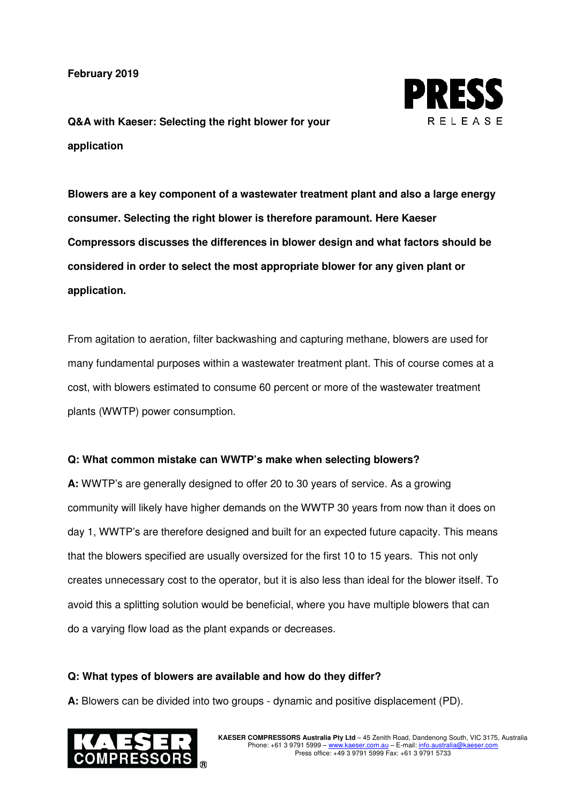**February 2019**



**Q&A with Kaeser: Selecting the right blower for your application** 

**Blowers are a key component of a wastewater treatment plant and also a large energy consumer. Selecting the right blower is therefore paramount. Here Kaeser Compressors discusses the differences in blower design and what factors should be considered in order to select the most appropriate blower for any given plant or application.** 

From agitation to aeration, filter backwashing and capturing methane, blowers are used for many fundamental purposes within a wastewater treatment plant. This of course comes at a cost, with blowers estimated to consume 60 percent or more of the wastewater treatment plants (WWTP) power consumption.

#### **Q: What common mistake can WWTP's make when selecting blowers?**

**A:** WWTP's are generally designed to offer 20 to 30 years of service. As a growing community will likely have higher demands on the WWTP 30 years from now than it does on day 1, WWTP's are therefore designed and built for an expected future capacity. This means that the blowers specified are usually oversized for the first 10 to 15 years. This not only creates unnecessary cost to the operator, but it is also less than ideal for the blower itself. To avoid this a splitting solution would be beneficial, where you have multiple blowers that can do a varying flow load as the plant expands or decreases.

#### **Q: What types of blowers are available and how do they differ?**

**A:** Blowers can be divided into two groups - dynamic and positive displacement (PD).

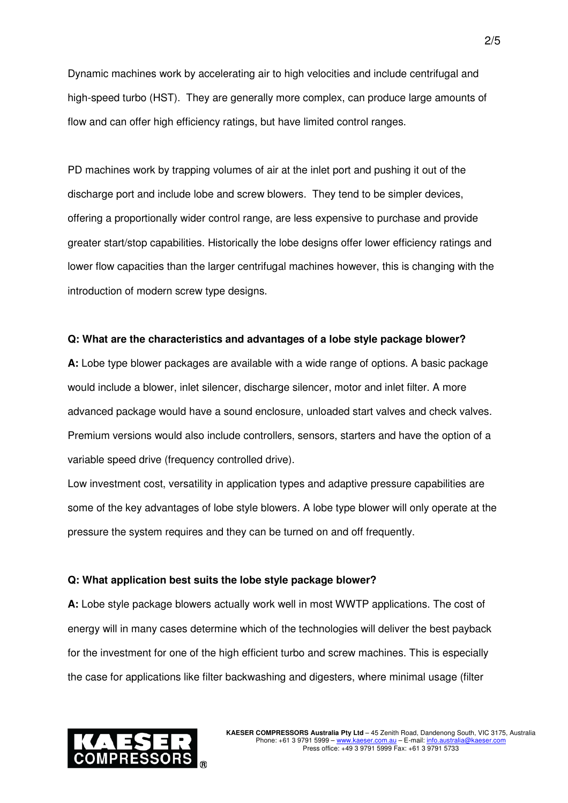Dynamic machines work by accelerating air to high velocities and include centrifugal and high-speed turbo (HST). They are generally more complex, can produce large amounts of flow and can offer high efficiency ratings, but have limited control ranges.

PD machines work by trapping volumes of air at the inlet port and pushing it out of the discharge port and include lobe and screw blowers. They tend to be simpler devices, offering a proportionally wider control range, are less expensive to purchase and provide greater start/stop capabilities. Historically the lobe designs offer lower efficiency ratings and lower flow capacities than the larger centrifugal machines however, this is changing with the introduction of modern screw type designs.

#### **Q: What are the characteristics and advantages of a lobe style package blower?**

**A:** Lobe type blower packages are available with a wide range of options. A basic package would include a blower, inlet silencer, discharge silencer, motor and inlet filter. A more advanced package would have a sound enclosure, unloaded start valves and check valves. Premium versions would also include controllers, sensors, starters and have the option of a variable speed drive (frequency controlled drive).

Low investment cost, versatility in application types and adaptive pressure capabilities are some of the key advantages of lobe style blowers. A lobe type blower will only operate at the pressure the system requires and they can be turned on and off frequently.

#### **Q: What application best suits the lobe style package blower?**

**A:** Lobe style package blowers actually work well in most WWTP applications. The cost of energy will in many cases determine which of the technologies will deliver the best payback for the investment for one of the high efficient turbo and screw machines. This is especially the case for applications like filter backwashing and digesters, where minimal usage (filter

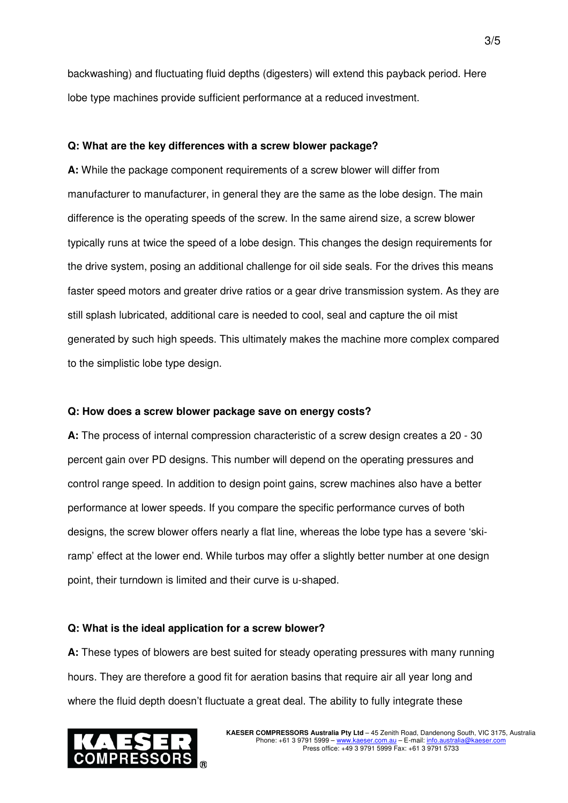backwashing) and fluctuating fluid depths (digesters) will extend this payback period. Here lobe type machines provide sufficient performance at a reduced investment.

### **Q: What are the key differences with a screw blower package?**

**A:** While the package component requirements of a screw blower will differ from manufacturer to manufacturer, in general they are the same as the lobe design. The main difference is the operating speeds of the screw. In the same airend size, a screw blower typically runs at twice the speed of a lobe design. This changes the design requirements for the drive system, posing an additional challenge for oil side seals. For the drives this means faster speed motors and greater drive ratios or a gear drive transmission system. As they are still splash lubricated, additional care is needed to cool, seal and capture the oil mist generated by such high speeds. This ultimately makes the machine more complex compared to the simplistic lobe type design.

#### **Q: How does a screw blower package save on energy costs?**

**A:** The process of internal compression characteristic of a screw design creates a 20 - 30 percent gain over PD designs. This number will depend on the operating pressures and control range speed. In addition to design point gains, screw machines also have a better performance at lower speeds. If you compare the specific performance curves of both designs, the screw blower offers nearly a flat line, whereas the lobe type has a severe 'skiramp' effect at the lower end. While turbos may offer a slightly better number at one design point, their turndown is limited and their curve is u-shaped.

#### **Q: What is the ideal application for a screw blower?**

**A:** These types of blowers are best suited for steady operating pressures with many running hours. They are therefore a good fit for aeration basins that require air all year long and where the fluid depth doesn't fluctuate a great deal. The ability to fully integrate these

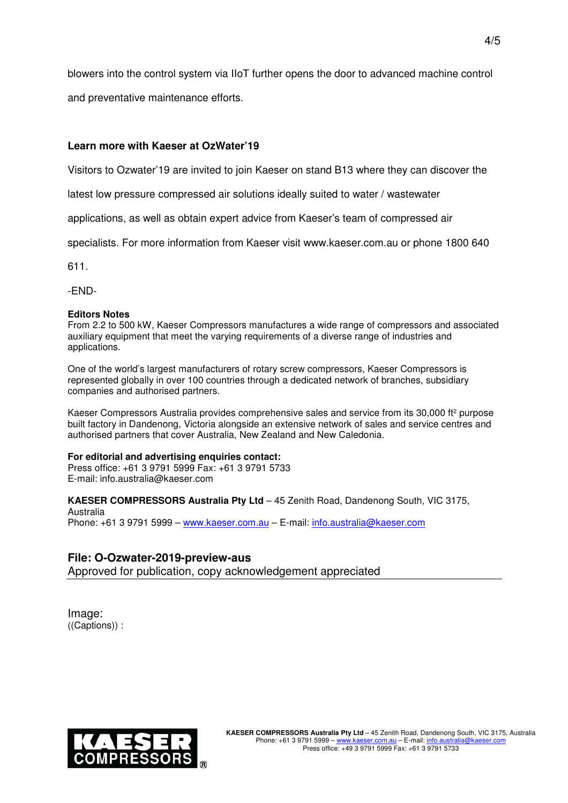blowers into the control system via IIoT further opens the door to advanced machine control

and preventative maintenance efforts.

## **Learn more with Kaeser at OzWater'19**

Visitors to Ozwater'19 are invited to join Kaeser on stand B13 where they can discover the

latest low pressure compressed air solutions ideally suited to water / wastewater

applications, as well as obtain expert advice from Kaeser's team of compressed air

specialists. For more information from Kaeser visit www.kaeser.com.au or phone 1800 640

611.

-END-

#### **Editors Notes**

From 2.2 to 500 kW, Kaeser Compressors manufactures a wide range of compressors and associated auxiliary equipment that meet the varying requirements of a diverse range of industries and applications.

One of the world's largest manufacturers of rotary screw compressors, Kaeser Compressors is represented globally in over 100 countries through a dedicated network of branches, subsidiary companies and authorised partners.

Kaeser Compressors Australia provides comprehensive sales and service from its 30,000 ft<sup>2</sup> purpose built factory in Dandenong, Victoria alongside an extensive network of sales and service centres and authorised partners that cover Australia, New Zealand and New Caledonia.

#### **For editorial and advertising enquiries contact:**

Press office: +61 3 9791 5999 Fax: +61 3 9791 5733 E-mail: info.australia@kaeser.com

**KAESER COMPRESSORS Australia Pty Ltd** – 45 Zenith Road, Dandenong South, VIC 3175, Australia Phone: +61 3 9791 5999 - www.kaeser.com.au - E-mail: info.australia@kaeser.com

# **File: O-Ozwater-2019-preview-aus**

Approved for publication, copy acknowledgement appreciated

Image: ((Captions)) :